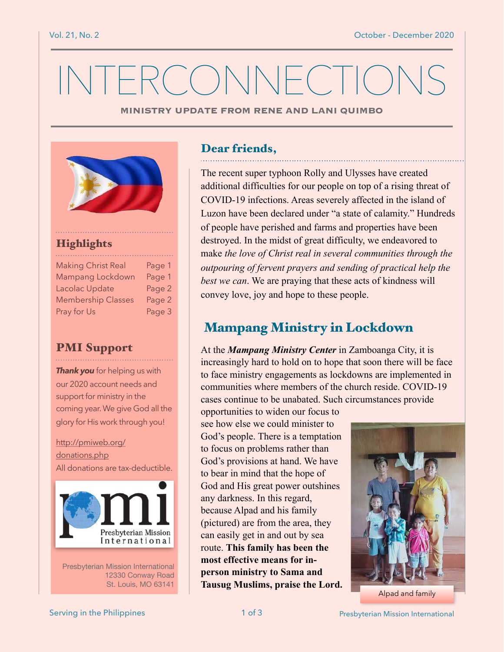# INTERCONNECTIONS

**MINISTRY UPDATE FROM RENE AND LANI QUIMBO**



#### Highlights

| <b>Making Christ Real</b> | Page 1 |
|---------------------------|--------|
| Mampang Lockdown          | Page 1 |
| Lacolac Update            | Page 2 |
| <b>Membership Classes</b> | Page 2 |
| Pray for Us               | Page 3 |

#### PMI Support

**Thank you** for helping us with our 2020 account needs and support for ministry in the coming year. We give God all the glory for His work through you!

[http://pmiweb.org/](http://pmiweb.org/donations.php) [donations.php](http://pmiweb.org/donations.php) All donations are tax-deductible.



Presbyterian Mission International 12330 Conway Road St. Louis, MO 63141

### Dear friends,

The recent super typhoon Rolly and Ulysses have created additional difficulties for our people on top of a rising threat of COVID-19 infections. Areas severely affected in the island of Luzon have been declared under "a state of calamity." Hundreds of people have perished and farms and properties have been destroyed. In the midst of great difficulty, we endeavored to make *the love of Christ real in several communities through the outpouring of fervent prayers and sending of practical help the best we can*. We are praying that these acts of kindness will convey love, joy and hope to these people.

# Mampang Ministry in Lockdown

At the *Mampang Ministry Center* in Zamboanga City, it is increasingly hard to hold on to hope that soon there will be face to face ministry engagements as lockdowns are implemented in communities where members of the church reside. COVID-19 cases continue to be unabated. Such circumstances provide

opportunities to widen our focus to see how else we could minister to God's people. There is a temptation to focus on problems rather than God's provisions at hand. We have to bear in mind that the hope of God and His great power outshines any darkness. In this regard, because Alpad and his family (pictured) are from the area, they can easily get in and out by sea route. **This family has been the most effective means for inperson ministry to Sama and Tausug Muslims, praise the Lord.** 



Alpad and family

Serving in the Philippines **1 of 3** Presbyterian Mission International Presbyterian Mission International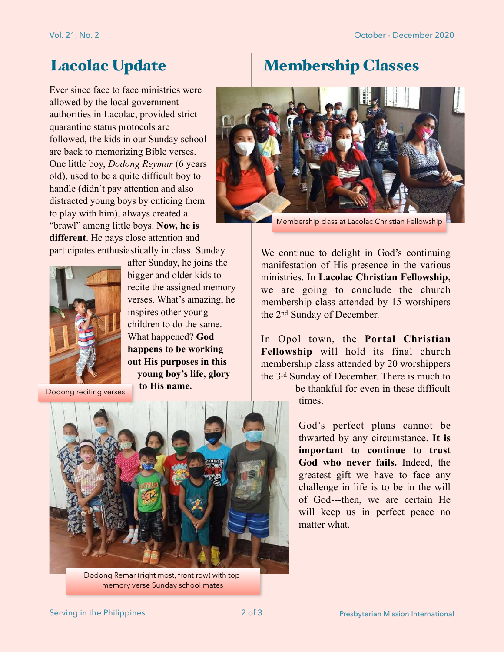# Lacolac Update Membership Classes

Ever since face to face ministries were allowed by the local government authorities in Lacolac, provided strict quarantine status protocols are followed, the kids in our Sunday school are back to memorizing Bible verses. One little boy, *Dodong Reymar* (6 years old), used to be a quite difficult boy to handle (didn't pay attention and also distracted young boys by enticing them to play with him), always created a "brawl" among little boys. **Now, he is different**. He pays close attention and participates enthusiastically in class. Sunday



after Sunday, he joins the bigger and older kids to recite the assigned memory verses. What's amazing, he inspires other young children to do the same. What happened? **God happens to be working out His purposes in this young boy's life, glory to His name.**

Dodong reciting verses



Dodong Remar (right most, front row) with top memory verse Sunday school mates



Membership class at Lacolac Christian Fellowship

We continue to delight in God's continuing manifestation of His presence in the various ministries. In **Lacolac Christian Fellowship**, we are going to conclude the church membership class attended by 15 worshipers the 2nd Sunday of December.

In Opol town, the **Portal Christian Fellowship** will hold its final church membership class attended by 20 worshippers the 3rd Sunday of December. There is much to

> be thankful for even in these difficult times.

God's perfect plans cannot be thwarted by any circumstance. **It is important to continue to trust God who never fails.** Indeed, the greatest gift we have to face any challenge in life is to be in the will of God---then, we are certain He will keep us in perfect peace no matter what.